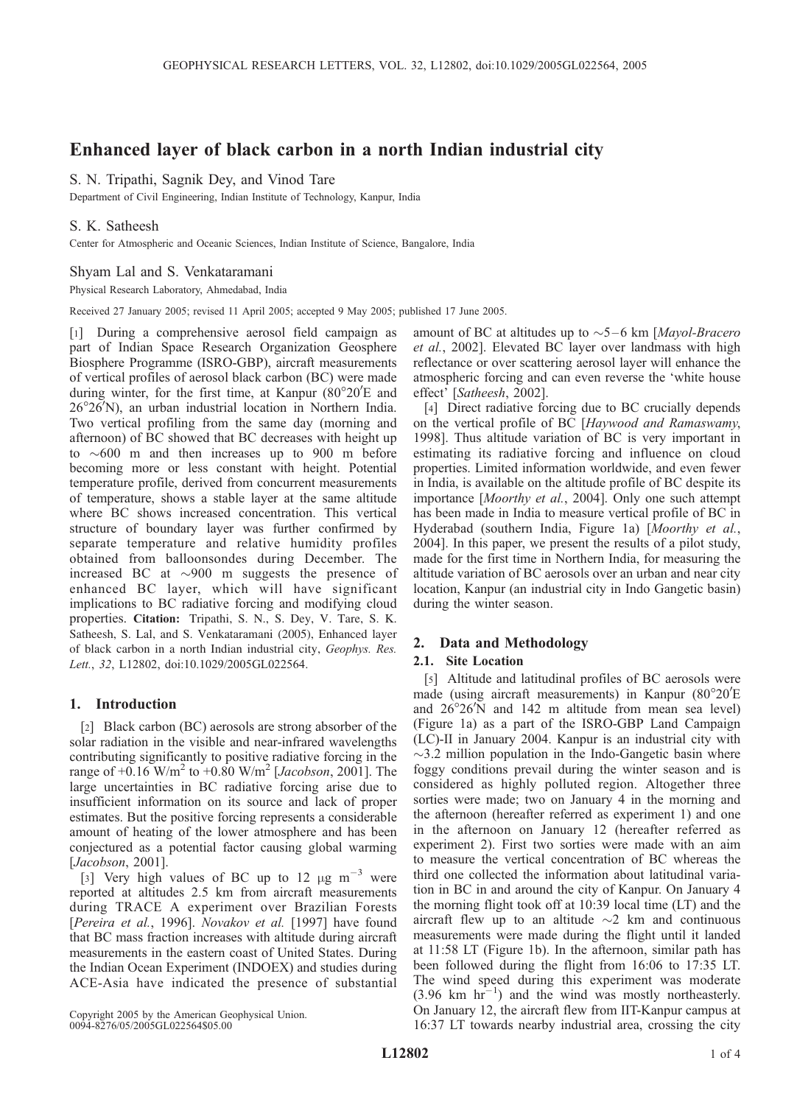# Enhanced layer of black carbon in a north Indian industrial city

## S. N. Tripathi, Sagnik Dey, and Vinod Tare

Department of Civil Engineering, Indian Institute of Technology, Kanpur, India

# S. K. Satheesh

Center for Atmospheric and Oceanic Sciences, Indian Institute of Science, Bangalore, India

### Shyam Lal and S. Venkataramani

Physical Research Laboratory, Ahmedabad, India

Received 27 January 2005; revised 11 April 2005; accepted 9 May 2005; published 17 June 2005.

[1] During a comprehensive aerosol field campaign as part of Indian Space Research Organization Geosphere Biosphere Programme (ISRO-GBP), aircraft measurements of vertical profiles of aerosol black carbon (BC) were made during winter, for the first time, at Kanpur  $(80^{\circ}20'E)$  and 26°26'N), an urban industrial location in Northern India. Two vertical profiling from the same day (morning and afternoon) of BC showed that BC decreases with height up to  $\sim 600$  m and then increases up to 900 m before becoming more or less constant with height. Potential temperature profile, derived from concurrent measurements of temperature, shows a stable layer at the same altitude where BC shows increased concentration. This vertical structure of boundary layer was further confirmed by separate temperature and relative humidity profiles obtained from balloonsondes during December. The increased BC at  $\sim$ 900 m suggests the presence of enhanced BC layer, which will have significant implications to BC radiative forcing and modifying cloud properties. Citation: Tripathi, S. N., S. Dey, V. Tare, S. K. Satheesh, S. Lal, and S. Venkataramani (2005), Enhanced layer of black carbon in a north Indian industrial city, Geophys. Res. Lett., 32, L12802, doi:10.1029/2005GL022564.

### 1. Introduction

[2] Black carbon (BC) aerosols are strong absorber of the solar radiation in the visible and near-infrared wavelengths contributing significantly to positive radiative forcing in the range of  $+0.16 \text{ W/m}^2$  to  $+0.80 \text{ W/m}^2$  [*Jacobson*, 2001]. The large uncertainties in BC radiative forcing arise due to insufficient information on its source and lack of proper estimates. But the positive forcing represents a considerable amount of heating of the lower atmosphere and has been conjectured as a potential factor causing global warming [*Jacobson*, 2001].

[3] Very high values of BC up to 12  $\mu$ g m<sup>-3</sup> were reported at altitudes 2.5 km from aircraft measurements during TRACE A experiment over Brazilian Forests [Pereira et al., 1996]. Novakov et al. [1997] have found that BC mass fraction increases with altitude during aircraft measurements in the eastern coast of United States. During the Indian Ocean Experiment (INDOEX) and studies during ACE-Asia have indicated the presence of substantial

Copyright 2005 by the American Geophysical Union. 0094-8276/05/2005GL022564\$05.00

amount of BC at altitudes up to  $\sim$ 5–6 km [Mayol-Bracero et al., 2002]. Elevated BC layer over landmass with high reflectance or over scattering aerosol layer will enhance the atmospheric forcing and can even reverse the 'white house effect' [Satheesh, 2002].

[4] Direct radiative forcing due to BC crucially depends on the vertical profile of BC [Haywood and Ramaswamy, 1998]. Thus altitude variation of BC is very important in estimating its radiative forcing and influence on cloud properties. Limited information worldwide, and even fewer in India, is available on the altitude profile of BC despite its importance [Moorthy et al., 2004]. Only one such attempt has been made in India to measure vertical profile of BC in Hyderabad (southern India, Figure 1a) [Moorthy et al., 2004]. In this paper, we present the results of a pilot study, made for the first time in Northern India, for measuring the altitude variation of BC aerosols over an urban and near city location, Kanpur (an industrial city in Indo Gangetic basin) during the winter season.

# 2. Data and Methodology

### 2.1. Site Location

[5] Altitude and latitudinal profiles of BC aerosols were made (using aircraft measurements) in Kanpur (80°20'E and  $26^{\circ}26^{\prime}$ N and 142 m altitude from mean sea level) (Figure 1a) as a part of the ISRO-GBP Land Campaign (LC)-II in January 2004. Kanpur is an industrial city with  $\sim$ 3.2 million population in the Indo-Gangetic basin where foggy conditions prevail during the winter season and is considered as highly polluted region. Altogether three sorties were made; two on January 4 in the morning and the afternoon (hereafter referred as experiment 1) and one in the afternoon on January 12 (hereafter referred as experiment 2). First two sorties were made with an aim to measure the vertical concentration of BC whereas the third one collected the information about latitudinal variation in BC in and around the city of Kanpur. On January 4 the morning flight took off at 10:39 local time (LT) and the aircraft flew up to an altitude  $\sim$ 2 km and continuous measurements were made during the flight until it landed at 11:58 LT (Figure 1b). In the afternoon, similar path has been followed during the flight from 16:06 to 17:35 LT. The wind speed during this experiment was moderate  $(3.96 \text{ km hr}^{-1})$  and the wind was mostly northeasterly. On January 12, the aircraft flew from IIT-Kanpur campus at 16:37 LT towards nearby industrial area, crossing the city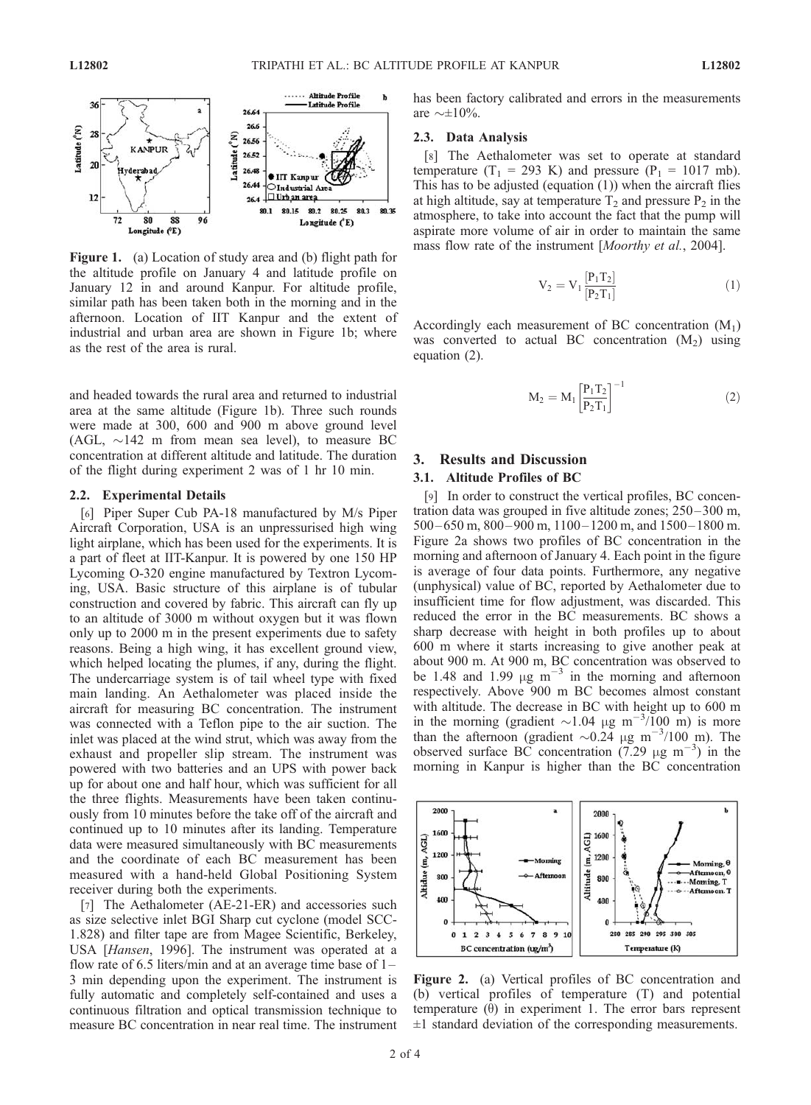

Figure 1. (a) Location of study area and (b) flight path for the altitude profile on January 4 and latitude profile on January 12 in and around Kanpur. For altitude profile, similar path has been taken both in the morning and in the afternoon. Location of IIT Kanpur and the extent of industrial and urban area are shown in Figure 1b; where as the rest of the area is rural.

and headed towards the rural area and returned to industrial area at the same altitude (Figure 1b). Three such rounds were made at 300, 600 and 900 m above ground level  $(AGL, \sim 142 \text{ m}$  from mean sea level), to measure BC concentration at different altitude and latitude. The duration of the flight during experiment 2 was of 1 hr 10 min.

#### 2.2. Experimental Details

[6] Piper Super Cub PA-18 manufactured by M/s Piper Aircraft Corporation, USA is an unpressurised high wing light airplane, which has been used for the experiments. It is a part of fleet at IIT-Kanpur. It is powered by one 150 HP Lycoming O-320 engine manufactured by Textron Lycoming, USA. Basic structure of this airplane is of tubular construction and covered by fabric. This aircraft can fly up to an altitude of 3000 m without oxygen but it was flown only up to 2000 m in the present experiments due to safety reasons. Being a high wing, it has excellent ground view, which helped locating the plumes, if any, during the flight. The undercarriage system is of tail wheel type with fixed main landing. An Aethalometer was placed inside the aircraft for measuring BC concentration. The instrument was connected with a Teflon pipe to the air suction. The inlet was placed at the wind strut, which was away from the exhaust and propeller slip stream. The instrument was powered with two batteries and an UPS with power back up for about one and half hour, which was sufficient for all the three flights. Measurements have been taken continuously from 10 minutes before the take off of the aircraft and continued up to 10 minutes after its landing. Temperature data were measured simultaneously with BC measurements and the coordinate of each BC measurement has been measured with a hand-held Global Positioning System receiver during both the experiments.

[7] The Aethalometer (AE-21-ER) and accessories such as size selective inlet BGI Sharp cut cyclone (model SCC-1.828) and filter tape are from Magee Scientific, Berkeley, USA [Hansen, 1996]. The instrument was operated at a flow rate of 6.5 liters/min and at an average time base of  $1-$ 3 min depending upon the experiment. The instrument is fully automatic and completely self-contained and uses a continuous filtration and optical transmission technique to measure BC concentration in near real time. The instrument has been factory calibrated and errors in the measurements are  $\sim \pm 10\%$ .

#### 2.3. Data Analysis

[8] The Aethalometer was set to operate at standard temperature (T<sub>1</sub> = 293 K) and pressure (P<sub>1</sub> = 1017 mb). This has to be adjusted (equation  $(1)$ ) when the aircraft flies at high altitude, say at temperature  $T_2$  and pressure  $P_2$  in the atmosphere, to take into account the fact that the pump will aspirate more volume of air in order to maintain the same mass flow rate of the instrument [Moorthy et al., 2004].

$$
V_2 = V_1 \frac{[P_1 T_2]}{[P_2 T_1]}
$$
 (1)

Accordingly each measurement of BC concentration  $(M_1)$ was converted to actual BC concentration  $(M_2)$  using equation (2).

$$
M_2 = M_1 \left[ \frac{P_1 T_2}{P_2 T_1} \right]^{-1} \tag{2}
$$

# 3. Results and Discussion

### 3.1. Altitude Profiles of BC

[9] In order to construct the vertical profiles, BC concentration data was grouped in five altitude zones; 250– 300 m,  $500 - 650$  m,  $800 - 900$  m,  $1100 - 1200$  m, and  $1500 - 1800$  m. Figure 2a shows two profiles of BC concentration in the morning and afternoon of January 4. Each point in the figure is average of four data points. Furthermore, any negative (unphysical) value of BC, reported by Aethalometer due to insufficient time for flow adjustment, was discarded. This reduced the error in the BC measurements. BC shows a sharp decrease with height in both profiles up to about 600 m where it starts increasing to give another peak at about 900 m. At 900 m, BC concentration was observed to be 1.48 and 1.99  $\mu$ g m<sup>-3</sup> in the morning and afternoon respectively. Above 900 m BC becomes almost constant with altitude. The decrease in BC with height up to 600 m in the morning (gradient  $\sim$ 1.04  $\mu$ g m<sup>-3</sup>/100 m) is more than the afternoon (gradient  $\sim 0.24$  µg m<sup>-3</sup>/100 m). The observed surface BC concentration  $(7.29 \text{ µg m}^{-3})$  in the morning in Kanpur is higher than the BC concentration



Figure 2. (a) Vertical profiles of BC concentration and (b) vertical profiles of temperature (T) and potential temperature  $(\theta)$  in experiment 1. The error bars represent  $\pm 1$  standard deviation of the corresponding measurements.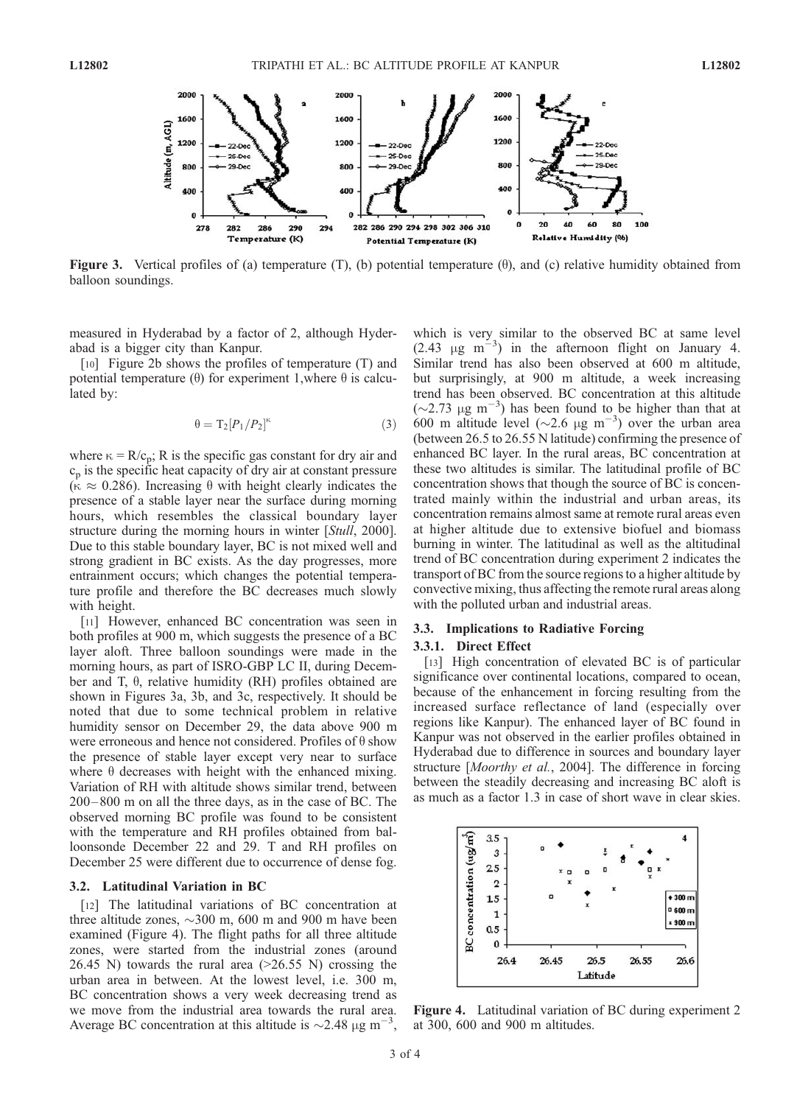

Figure 3. Vertical profiles of (a) temperature (T), (b) potential temperature ( $\theta$ ), and (c) relative humidity obtained from balloon soundings.

measured in Hyderabad by a factor of 2, although Hyderabad is a bigger city than Kanpur.

[10] Figure 2b shows the profiles of temperature (T) and potential temperature ( $\theta$ ) for experiment 1, where  $\theta$  is calculated by:

$$
\theta = \mathcal{T}_2 [P_1/P_2]^\kappa \tag{3}
$$

where  $\kappa = R/c_p$ ; R is the specific gas constant for dry air and  $c_p$  is the specific heat capacity of dry air at constant pressure  $(\kappa \approx 0.286)$ . Increasing  $\theta$  with height clearly indicates the presence of a stable layer near the surface during morning hours, which resembles the classical boundary layer structure during the morning hours in winter [Stull, 2000]. Due to this stable boundary layer, BC is not mixed well and strong gradient in BC exists. As the day progresses, more entrainment occurs; which changes the potential temperature profile and therefore the BC decreases much slowly with height.

[11] However, enhanced BC concentration was seen in both profiles at 900 m, which suggests the presence of a BC layer aloft. Three balloon soundings were made in the morning hours, as part of ISRO-GBP LC II, during December and T,  $\theta$ , relative humidity (RH) profiles obtained are shown in Figures 3a, 3b, and 3c, respectively. It should be noted that due to some technical problem in relative humidity sensor on December 29, the data above 900 m were erroneous and hence not considered. Profiles of  $\theta$  show the presence of stable layer except very near to surface where  $\theta$  decreases with height with the enhanced mixing. Variation of RH with altitude shows similar trend, between 200 –800 m on all the three days, as in the case of BC. The observed morning BC profile was found to be consistent with the temperature and RH profiles obtained from balloonsonde December 22 and 29. T and RH profiles on December 25 were different due to occurrence of dense fog.

#### 3.2. Latitudinal Variation in BC

[12] The latitudinal variations of BC concentration at three altitude zones,  $\sim$ 300 m, 600 m and 900 m have been examined (Figure 4). The flight paths for all three altitude zones, were started from the industrial zones (around 26.45 N) towards the rural area  $(>26.55$  N) crossing the urban area in between. At the lowest level, i.e. 300 m, BC concentration shows a very week decreasing trend as we move from the industrial area towards the rural area. Average BC concentration at this altitude is  $\sim$ 2.48  $\mu$ g m<sup>-3</sup>,

which is very similar to the observed BC at same level (2.43  $\mu$ g m<sup>-3</sup>) in the afternoon flight on January 4. Similar trend has also been observed at 600 m altitude, but surprisingly, at 900 m altitude, a week increasing trend has been observed. BC concentration at this altitude  $({\sim}2.73 \text{ }\mu\text{g m}^{-3})$  has been found to be higher than that at 600 m altitude level ( $\sim$ 2.6  $\mu$ g m<sup>-3</sup>) over the urban area (between 26.5 to 26.55 N latitude) confirming the presence of enhanced BC layer. In the rural areas, BC concentration at these two altitudes is similar. The latitudinal profile of BC concentration shows that though the source of BC is concentrated mainly within the industrial and urban areas, its concentration remains almost same at remote rural areas even at higher altitude due to extensive biofuel and biomass burning in winter. The latitudinal as well as the altitudinal trend of BC concentration during experiment 2 indicates the transport of BC from the source regions to a higher altitude by convective mixing, thus affecting the remote rural areas along with the polluted urban and industrial areas.

### 3.3. Implications to Radiative Forcing 3.3.1. Direct Effect

[13] High concentration of elevated BC is of particular significance over continental locations, compared to ocean, because of the enhancement in forcing resulting from the increased surface reflectance of land (especially over regions like Kanpur). The enhanced layer of BC found in Kanpur was not observed in the earlier profiles obtained in Hyderabad due to difference in sources and boundary layer structure [Moorthy et al., 2004]. The difference in forcing between the steadily decreasing and increasing BC aloft is as much as a factor 1.3 in case of short wave in clear skies.



Figure 4. Latitudinal variation of BC during experiment 2 at 300, 600 and 900 m altitudes.